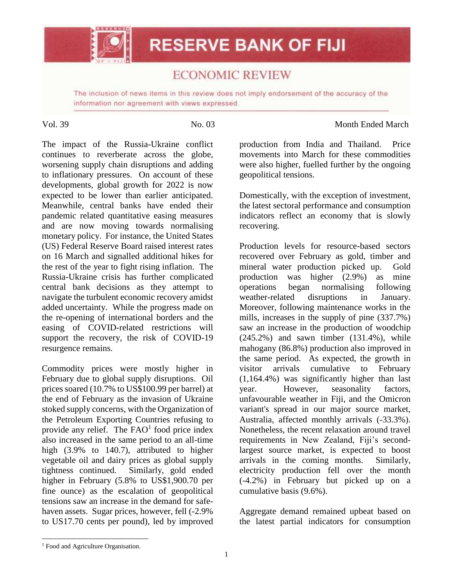

## **ECONOMIC REVIEW**

The inclusion of news items in this review does not imply endorsement of the accuracy of the information nor agreement with views expressed.

## Vol. 39 No. 03 No. 03 Month Ended March

The impact of the Russia-Ukraine conflict continues to reverberate across the globe, worsening supply chain disruptions and adding to inflationary pressures. On account of these developments, global growth for 2022 is now expected to be lower than earlier anticipated. Meanwhile, central banks have ended their pandemic related quantitative easing measures and are now moving towards normalising monetary policy. For instance, the United States (US) Federal Reserve Board raised interest rates on 16 March and signalled additional hikes for the rest of the year to fight rising inflation. The Russia-Ukraine crisis has further complicated central bank decisions as they attempt to navigate the turbulent economic recovery amidst added uncertainty. While the progress made on the re-opening of international borders and the easing of COVID-related restrictions will support the recovery, the risk of COVID-19 resurgence remains.

Commodity prices were mostly higher in February due to global supply disruptions. Oil prices soared (10.7% to US\$100.99 per barrel) at the end of February as the invasion of Ukraine stoked supply concerns, with the Organization of the Petroleum Exporting Countries refusing to provide any relief. The  $FAO<sup>1</sup>$  food price index also increased in the same period to an all-time high (3.9% to 140.7), attributed to higher vegetable oil and dairy prices as global supply tightness continued. Similarly, gold ended higher in February (5.8% to US\$1,900.70 per fine ounce) as the escalation of geopolitical tensions saw an increase in the demand for safehaven assets. Sugar prices, however, fell (-2.9% to US17.70 cents per pound), led by improved

production from India and Thailand. Price movements into March for these commodities were also higher, fuelled further by the ongoing geopolitical tensions.

Domestically, with the exception of investment, the latest sectoral performance and consumption indicators reflect an economy that is slowly recovering.

Production levels for resource-based sectors recovered over February as gold, timber and mineral water production picked up. Gold production was higher (2.9%) as mine operations began normalising following weather-related disruptions in January. Moreover, following maintenance works in the mills, increases in the supply of pine (337.7%) saw an increase in the production of woodchip (245.2%) and sawn timber (131.4%), while mahogany (86.8%) production also improved in the same period. As expected, the growth in visitor arrivals cumulative to February (1,164.4%) was significantly higher than last year. However, seasonality factors, unfavourable weather in Fiji, and the Omicron variant's spread in our major source market, Australia, affected monthly arrivals (-33.3%). Nonetheless, the recent relaxation around travel requirements in New Zealand, Fiji's secondlargest source market, is expected to boost arrivals in the coming months. Similarly, electricity production fell over the month (-4.2%) in February but picked up on a cumulative basis (9.6%).

Aggregate demand remained upbeat based on the latest partial indicators for consumption

 $\overline{a}$ 

<sup>&</sup>lt;sup>1</sup> Food and Agriculture Organisation.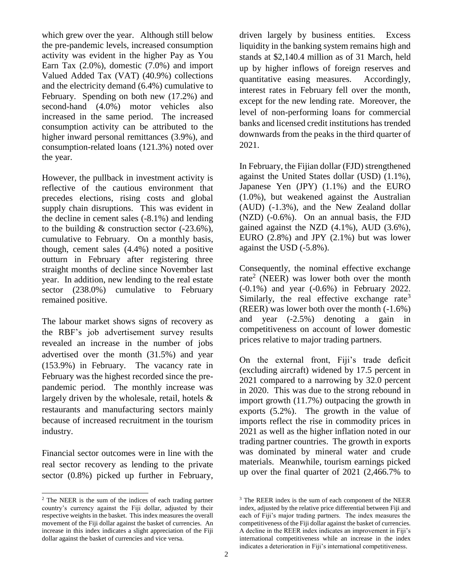which grew over the year. Although still below the pre-pandemic levels, increased consumption activity was evident in the higher Pay as You Earn Tax  $(2.0\%)$ , domestic  $(7.0\%)$  and import Valued Added Tax (VAT) (40.9%) collections and the electricity demand (6.4%) cumulative to February. Spending on both new (17.2%) and second-hand (4.0%) motor vehicles also increased in the same period. The increased consumption activity can be attributed to the higher inward personal remittances (3.9%), and consumption-related loans (121.3%) noted over the year.

However, the pullback in investment activity is reflective of the cautious environment that precedes elections, rising costs and global supply chain disruptions. This was evident in the decline in cement sales (-8.1%) and lending to the building  $\&$  construction sector (-23.6%), cumulative to February. On a monthly basis, though, cement sales (4.4%) noted a positive outturn in February after registering three straight months of decline since November last year. In addition, new lending to the real estate sector (238.0%) cumulative to February remained positive.

The labour market shows signs of recovery as the RBF's job advertisement survey results revealed an increase in the number of jobs advertised over the month (31.5%) and year (153.9%) in February. The vacancy rate in February was the highest recorded since the prepandemic period. The monthly increase was largely driven by the wholesale, retail, hotels & restaurants and manufacturing sectors mainly because of increased recruitment in the tourism industry.

Financial sector outcomes were in line with the real sector recovery as lending to the private sector (0.8%) picked up further in February,

 $\overline{a}$ 

driven largely by business entities. Excess liquidity in the banking system remains high and stands at \$2,140.4 million as of 31 March, held up by higher inflows of foreign reserves and quantitative easing measures. Accordingly, interest rates in February fell over the month, except for the new lending rate. Moreover, the level of non-performing loans for commercial banks and licensed credit institutions has trended downwards from the peaks in the third quarter of 2021.

In February, the Fijian dollar (FJD) strengthened against the United States dollar (USD) (1.1%), Japanese Yen (JPY) (1.1%) and the EURO (1.0%), but weakened against the Australian (AUD) (-1.3%), and the New Zealand dollar (NZD) (-0.6%). On an annual basis, the FJD gained against the NZD (4.1%), AUD (3.6%), EURO (2.8%) and JPY (2.1%) but was lower against the USD (-5.8%).

Consequently, the nominal effective exchange rate<sup>2</sup> (NEER) was lower both over the month (-0.1%) and year (-0.6%) in February 2022. Similarly, the real effective exchange rate<sup>3</sup> (REER) was lower both over the month (-1.6%) and year (-2.5%) denoting a gain in competitiveness on account of lower domestic prices relative to major trading partners.

On the external front, Fiji's trade deficit (excluding aircraft) widened by 17.5 percent in 2021 compared to a narrowing by 32.0 percent in 2020. This was due to the strong rebound in import growth (11.7%) outpacing the growth in exports (5.2%). The growth in the value of imports reflect the rise in commodity prices in 2021 as well as the higher inflation noted in our trading partner countries. The growth in exports was dominated by mineral water and crude materials. Meanwhile, tourism earnings picked up over the final quarter of 2021 (2,466.7% to

<sup>2</sup> The NEER is the sum of the indices of each trading partner country's currency against the Fiji dollar, adjusted by their respective weights in the basket. This index measures the overall movement of the Fiji dollar against the basket of currencies. An increase in this index indicates a slight appreciation of the Fiji dollar against the basket of currencies and vice versa.

<sup>&</sup>lt;sup>3</sup> The REER index is the sum of each component of the NEER index, adjusted by the relative price differential between Fiji and each of Fiji's major trading partners. The index measures the competitiveness of the Fiji dollar against the basket of currencies. A decline in the REER index indicates an improvement in Fiji's international competitiveness while an increase in the index indicates a deterioration in Fiji's international competitiveness.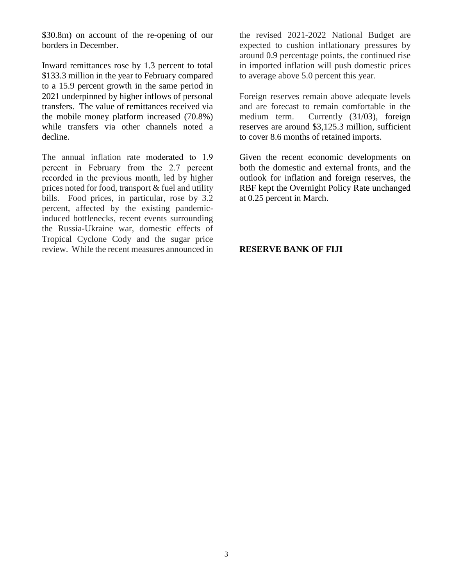\$30.8m) on account of the re-opening of our borders in December.

Inward remittances rose by 1.3 percent to total \$133.3 million in the year to February compared to a 15.9 percent growth in the same period in 2021 underpinned by higher inflows of personal transfers. The value of remittances received via the mobile money platform increased (70.8%) while transfers via other channels noted a decline.

The annual inflation rate moderated to 1.9 percent in February from the 2.7 percent recorded in the previous month, led by higher prices noted for food, transport & fuel and utility bills. Food prices, in particular, rose by 3.2 percent, affected by the existing pandemicinduced bottlenecks, recent events surrounding the Russia-Ukraine war, domestic effects of Tropical Cyclone Cody and the sugar price review. While the recent measures announced in

the revised 2021-2022 National Budget are expected to cushion inflationary pressures by around 0.9 percentage points, the continued rise in imported inflation will push domestic prices to average above 5.0 percent this year.

Foreign reserves remain above adequate levels and are forecast to remain comfortable in the medium term. Currently (31/03), foreign reserves are around \$3,125.3 million, sufficient to cover 8.6 months of retained imports.

Given the recent economic developments on both the domestic and external fronts, and the outlook for inflation and foreign reserves, the RBF kept the Overnight Policy Rate unchanged at 0.25 percent in March.

## **RESERVE BANK OF FIJI**